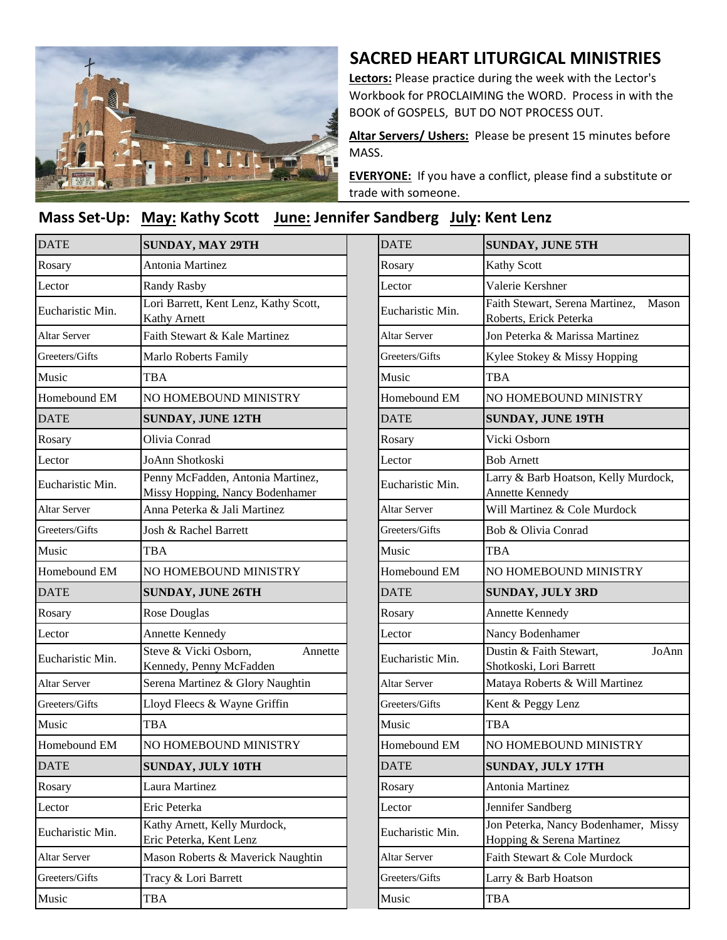

## **SACRED HEART LITURGICAL MINISTRIES**

**Lectors:** Please practice during the week with the Lector's Workbook for PROCLAIMING the WORD. Process in with the BOOK of GOSPELS, BUT DO NOT PROCESS OUT.

**Altar Servers/ Ushers:** Please be present 15 minutes before MASS.

**EVERYONE:** If you have a conflict, please find a substitute or trade with someone.

## Mass Set-Up: May: Kathy Scott June: Jennifer Sandberg July: Kent Lenz

| <b>DATE</b>         | <b>SUNDAY, MAY 29TH</b>                                              | <b>DATE</b>         | <b>SUNDAY, JUNE 5TH</b>                                     |
|---------------------|----------------------------------------------------------------------|---------------------|-------------------------------------------------------------|
| Rosary              | <b>Antonia Martinez</b>                                              | Rosary              | Kathy Scott                                                 |
| Lector              | <b>Randy Rasby</b>                                                   | Lector              | Valerie Kershner                                            |
| Eucharistic Min.    | Lori Barrett, Kent Lenz, Kathy Scott,<br><b>Kathy Arnett</b>         | Eucharistic Min.    | Faith Stewart, Serena Martinez,<br>Roberts, Erick Peterka   |
| <b>Altar Server</b> | Faith Stewart & Kale Martinez                                        | <b>Altar Server</b> | Jon Peterka & Marissa Martinez                              |
| Greeters/Gifts      | <b>Marlo Roberts Family</b>                                          | Greeters/Gifts      | Kylee Stokey & Missy Hopping                                |
| Music               | <b>TBA</b>                                                           | Music               | <b>TBA</b>                                                  |
| Homebound EM        | NO HOMEBOUND MINISTRY                                                | Homebound EM        | NO HOMEBOUND MINISTRY                                       |
| <b>DATE</b>         | <b>SUNDAY, JUNE 12TH</b>                                             | <b>DATE</b>         | <b>SUNDAY, JUNE 19TH</b>                                    |
| Rosary              | Olivia Conrad                                                        | Rosary              | Vicki Osborn                                                |
| Lector              | JoAnn Shotkoski                                                      | Lector              | <b>Bob Arnett</b>                                           |
| Eucharistic Min.    | Penny McFadden, Antonia Martinez,<br>Missy Hopping, Nancy Bodenhamer | Eucharistic Min.    | Larry & Barb Hoatson, Kelly Mu<br><b>Annette Kennedy</b>    |
| <b>Altar Server</b> | Anna Peterka & Jali Martinez                                         | <b>Altar Server</b> | Will Martinez & Cole Murdock                                |
| Greeters/Gifts      | Josh & Rachel Barrett                                                | Greeters/Gifts      | Bob & Olivia Conrad                                         |
| Music               | TBA                                                                  | Music               | TBA                                                         |
| Homebound EM        | NO HOMEBOUND MINISTRY                                                | Homebound EM        | NO HOMEBOUND MINISTRY                                       |
| <b>DATE</b>         | <b>SUNDAY, JUNE 26TH</b>                                             | <b>DATE</b>         | <b>SUNDAY, JULY 3RD</b>                                     |
| Rosary              | Rose Douglas                                                         | Rosary              | Annette Kennedy                                             |
| Lector              | Annette Kennedy                                                      | Lector              | Nancy Bodenhamer                                            |
| Eucharistic Min.    | Steve & Vicki Osborn,<br>Annette<br>Kennedy, Penny McFadden          | Eucharistic Min.    | Dustin & Faith Stewart,<br>Shotkoski, Lori Barrett          |
| <b>Altar Server</b> | Serena Martinez & Glory Naughtin                                     | <b>Altar Server</b> | Mataya Roberts & Will Martinez                              |
| Greeters/Gifts      | Lloyd Fleecs & Wayne Griffin                                         | Greeters/Gifts      | Kent & Peggy Lenz                                           |
| Music               | <b>TBA</b>                                                           | Music               | TBA                                                         |
| Homebound EM        | NO HOMEBOUND MINISTRY                                                | Homebound EM        | NO HOMEBOUND MINISTRY                                       |
| <b>DATE</b>         | SUNDAY, JULY 10TH                                                    | <b>DATE</b>         | SUNDAY, JULY 17TH                                           |
| Rosary              | Laura Martinez                                                       | Rosary              | Antonia Martinez                                            |
| Lector              | Eric Peterka                                                         | Lector              | Jennifer Sandberg                                           |
| Eucharistic Min.    | Kathy Arnett, Kelly Murdock,<br>Eric Peterka, Kent Lenz              | Eucharistic Min.    | Jon Peterka, Nancy Bodenhamer,<br>Hopping & Serena Martinez |
| Altar Server        | Mason Roberts & Maverick Naughtin                                    | Altar Server        | Faith Stewart & Cole Murdock                                |
| Greeters/Gifts      | Tracy & Lori Barrett                                                 | Greeters/Gifts      | Larry & Barb Hoatson                                        |
| Music               | TBA                                                                  | Music               | <b>TBA</b>                                                  |

| <b>SUNDAY, MAY 29TH</b>                                              | <b>DATE</b>         | <b>SUNDAY, JUNE 5TH</b>                                            |  |
|----------------------------------------------------------------------|---------------------|--------------------------------------------------------------------|--|
| Antonia Martinez                                                     | Rosary              | <b>Kathy Scott</b>                                                 |  |
| <b>Randy Rasby</b>                                                   | Lector              | Valerie Kershner                                                   |  |
| Lori Barrett, Kent Lenz, Kathy Scott,<br>Kathy Arnett                | Eucharistic Min.    | Faith Stewart, Serena Martinez,<br>Mason<br>Roberts, Erick Peterka |  |
| Faith Stewart & Kale Martinez                                        | <b>Altar Server</b> | Jon Peterka & Marissa Martinez                                     |  |
| Marlo Roberts Family                                                 | Greeters/Gifts      | Kylee Stokey & Missy Hopping                                       |  |
| TBA                                                                  | Music               | <b>TBA</b>                                                         |  |
| NO HOMEBOUND MINISTRY                                                | Homebound EM        | NO HOMEBOUND MINISTRY                                              |  |
| <b>SUNDAY, JUNE 12TH</b>                                             | <b>DATE</b>         | <b>SUNDAY, JUNE 19TH</b>                                           |  |
| Olivia Conrad                                                        | Rosary              | Vicki Osborn                                                       |  |
| JoAnn Shotkoski                                                      | Lector              | <b>Bob Arnett</b>                                                  |  |
| Penny McFadden, Antonia Martinez,<br>Missy Hopping, Nancy Bodenhamer | Eucharistic Min.    | Larry & Barb Hoatson, Kelly Murdock,<br><b>Annette Kennedy</b>     |  |
| Anna Peterka & Jali Martinez                                         | <b>Altar Server</b> | Will Martinez & Cole Murdock                                       |  |
| Josh & Rachel Barrett                                                | Greeters/Gifts      | Bob & Olivia Conrad                                                |  |
| TBA                                                                  | Music               | <b>TBA</b>                                                         |  |
| NO HOMEBOUND MINISTRY                                                | Homebound EM        | NO HOMEBOUND MINISTRY                                              |  |
| <b>SUNDAY, JUNE 26TH</b>                                             | <b>DATE</b>         | <b>SUNDAY, JULY 3RD</b>                                            |  |
| Rose Douglas                                                         | Rosary              | <b>Annette Kennedy</b>                                             |  |
| <b>Annette Kennedy</b>                                               | Lector              | Nancy Bodenhamer                                                   |  |
| Steve & Vicki Osborn,<br>Annette<br>Kennedy, Penny McFadden          | Eucharistic Min.    | Dustin & Faith Stewart,<br>JoAnn<br>Shotkoski, Lori Barrett        |  |
| Serena Martinez & Glory Naughtin                                     | <b>Altar Server</b> | Mataya Roberts & Will Martinez                                     |  |
| Lloyd Fleecs & Wayne Griffin                                         | Greeters/Gifts      | Kent & Peggy Lenz                                                  |  |
| TBA                                                                  | Music               | <b>TBA</b>                                                         |  |
| NO HOMEBOUND MINISTRY                                                | Homebound EM        | NO HOMEBOUND MINISTRY                                              |  |
| <b>SUNDAY, JULY 10TH</b>                                             | <b>DATE</b>         | <b>SUNDAY, JULY 17TH</b>                                           |  |
| Laura Martinez                                                       | Rosary              | Antonia Martinez                                                   |  |
| Eric Peterka                                                         | Lector              | Jennifer Sandberg                                                  |  |
| Kathy Arnett, Kelly Murdock,<br>Eric Peterka, Kent Lenz              | Eucharistic Min.    | Jon Peterka, Nancy Bodenhamer, Missy<br>Hopping & Serena Martinez  |  |
| Mason Roberts & Maverick Naughtin                                    | Altar Server        | Faith Stewart & Cole Murdock                                       |  |
| Tracy & Lori Barrett                                                 | Greeters/Gifts      | Larry & Barb Hoatson                                               |  |
| <b>TBA</b>                                                           | Music               | <b>TBA</b>                                                         |  |